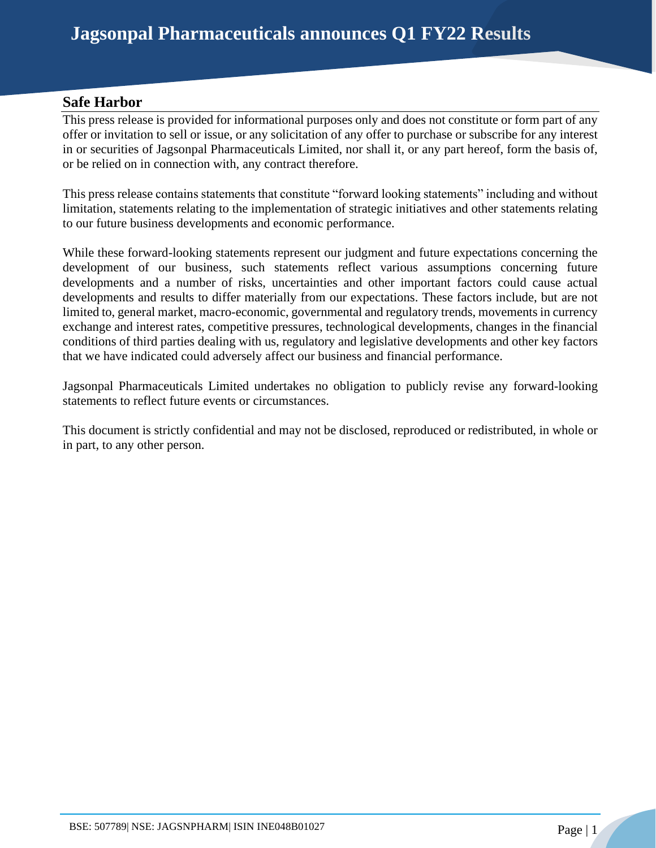## **Safe Harbor**

This press release is provided for informational purposes only and does not constitute or form part of any offer or invitation to sell or issue, or any solicitation of any offer to purchase or subscribe for any interest in or securities of Jagsonpal Pharmaceuticals Limited, nor shall it, or any part hereof, form the basis of, or be relied on in connection with, any contract therefore.

This press release contains statements that constitute "forward looking statements" including and without limitation, statements relating to the implementation of strategic initiatives and other statements relating to our future business developments and economic performance.

While these forward-looking statements represent our judgment and future expectations concerning the development of our business, such statements reflect various assumptions concerning future developments and a number of risks, uncertainties and other important factors could cause actual developments and results to differ materially from our expectations. These factors include, but are not limited to, general market, macro-economic, governmental and regulatory trends, movements in currency exchange and interest rates, competitive pressures, technological developments, changes in the financial conditions of third parties dealing with us, regulatory and legislative developments and other key factors that we have indicated could adversely affect our business and financial performance.

Jagsonpal Pharmaceuticals Limited undertakes no obligation to publicly revise any forward-looking statements to reflect future events or circumstances.

This document is strictly confidential and may not be disclosed, reproduced or redistributed, in whole or in part, to any other person.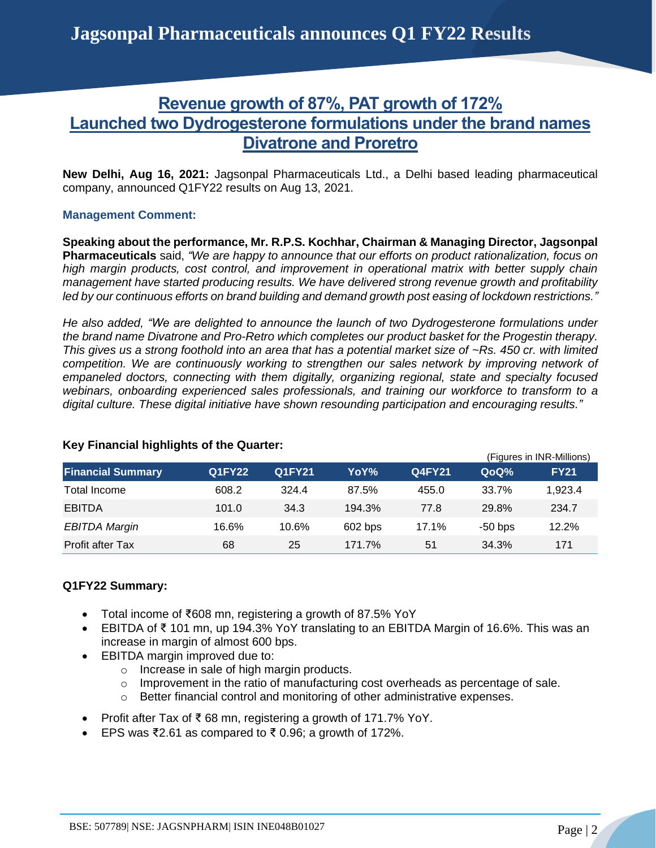# **Revenue growth of 87%, PAT growth of 172% Launched two Dydrogesterone formulations under the brand names Divatrone and Proretro**

**New Delhi, Aug 16, 2021:** Jagsonpal Pharmaceuticals Ltd., a Delhi based leading pharmaceutical company, announced Q1FY22 results on Aug 13, 2021.

## **Management Comment:**

**Speaking about the performance, Mr. R.P.S. Kochhar, Chairman & Managing Director, Jagsonpal Pharmaceuticals** said, *"We are happy to announce that our efforts on product rationalization, focus on high margin products, cost control, and improvement in operational matrix with better supply chain management have started producing results. We have delivered strong revenue growth and profitability led by our continuous efforts on brand building and demand growth post easing of lockdown restrictions."*

*He also added, "We are delighted to announce the launch of two Dydrogesterone formulations under the brand name Divatrone and Pro-Retro which completes our product basket for the Progestin therapy. This gives us a strong foothold into an area that has a potential market size of ~Rs. 450 cr. with limited competition. We are continuously working to strengthen our sales network by improving network of empaneled doctors, connecting with them digitally, organizing regional, state and specialty focused webinars, onboarding experienced sales professionals, and training our workforce to transform to a digital culture. These digital initiative have shown resounding participation and encouraging results."*

|                          |               |               |         |        | (Figures in INR-Millions) |             |
|--------------------------|---------------|---------------|---------|--------|---------------------------|-------------|
| <b>Financial Summary</b> | <b>Q1FY22</b> | <b>Q1FY21</b> | YoY%    | Q4FY21 | QoQ%                      | <b>FY21</b> |
| Total Income             | 608.2         | 324.4         | 87.5%   | 455.0  | 33.7%                     | 1,923.4     |
| <b>EBITDA</b>            | 101.0         | 34.3          | 194.3%  | 77.8   | 29.8%                     | 234.7       |
| <b>EBITDA Margin</b>     | 16.6%         | 10.6%         | 602 bps | 17.1%  | $-50$ bps                 | 12.2%       |
| <b>Profit after Tax</b>  | 68            | 25            | 171.7%  | 51     | 34.3%                     | 171         |

## **Key Financial highlights of the Quarter:**

## **Q1FY22 Summary:**

- Total income of ₹608 mn, registering a growth of 87.5% YoY
- EBITDA of ₹ 101 mn, up 194.3% YoY translating to an EBITDA Margin of 16.6%. This was an increase in margin of almost 600 bps.
- EBITDA margin improved due to:
	- o Increase in sale of high margin products.
	- o Improvement in the ratio of manufacturing cost overheads as percentage of sale.
	- o Better financial control and monitoring of other administrative expenses.
- Profit after Tax of ₹ 68 mn, registering a growth of 171.7% YoY.
- EPS was ₹2.61 as compared to ₹0.96; a growth of 172%.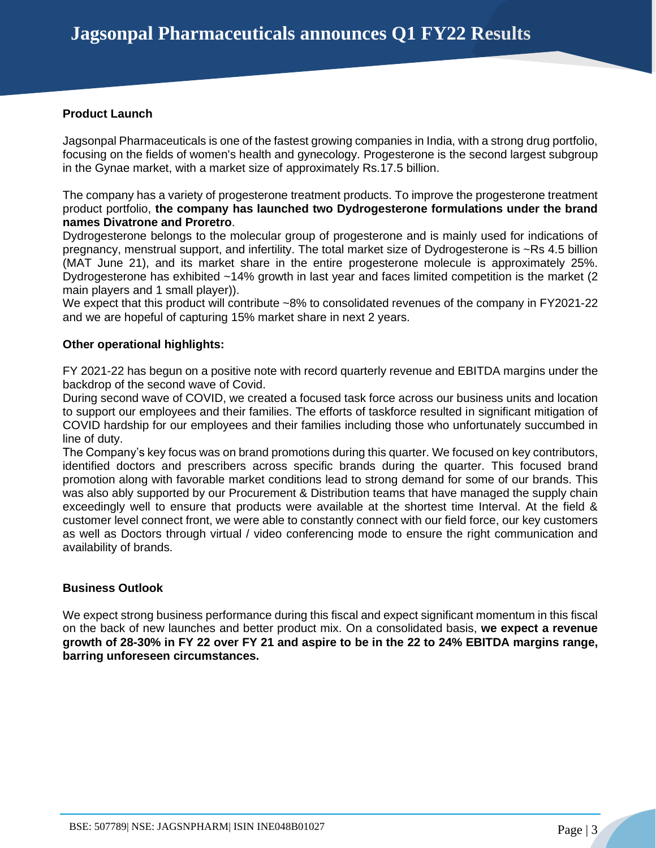## **Product Launch**

Jagsonpal Pharmaceuticals is one of the fastest growing companies in India, with a strong drug portfolio, focusing on the fields of women's health and gynecology. Progesterone is the second largest subgroup in the Gynae market, with a market size of approximately Rs.17.5 billion.

The company has a variety of progesterone treatment products. To improve the progesterone treatment product portfolio, **the company has launched two Dydrogesterone formulations under the brand names Divatrone and Proretro**.

Dydrogesterone belongs to the molecular group of progesterone and is mainly used for indications of pregnancy, menstrual support, and infertility. The total market size of Dydrogesterone is ~Rs 4.5 billion (MAT June 21), and its market share in the entire progesterone molecule is approximately 25%. Dydrogesterone has exhibited ~14% growth in last year and faces limited competition is the market (2 main players and 1 small player)).

We expect that this product will contribute ~8% to consolidated revenues of the company in FY2021-22 and we are hopeful of capturing 15% market share in next 2 years.

## **Other operational highlights:**

FY 2021-22 has begun on a positive note with record quarterly revenue and EBITDA margins under the backdrop of the second wave of Covid.

During second wave of COVID, we created a focused task force across our business units and location to support our employees and their families. The efforts of taskforce resulted in significant mitigation of COVID hardship for our employees and their families including those who unfortunately succumbed in line of duty.

The Company's key focus was on brand promotions during this quarter. We focused on key contributors, identified doctors and prescribers across specific brands during the quarter. This focused brand promotion along with favorable market conditions lead to strong demand for some of our brands. This was also ably supported by our Procurement & Distribution teams that have managed the supply chain exceedingly well to ensure that products were available at the shortest time Interval. At the field & customer level connect front, we were able to constantly connect with our field force, our key customers as well as Doctors through virtual / video conferencing mode to ensure the right communication and availability of brands.

### **Business Outlook**

We expect strong business performance during this fiscal and expect significant momentum in this fiscal on the back of new launches and better product mix. On a consolidated basis, **we expect a revenue growth of 28-30% in FY 22 over FY 21 and aspire to be in the 22 to 24% EBITDA margins range, barring unforeseen circumstances.**